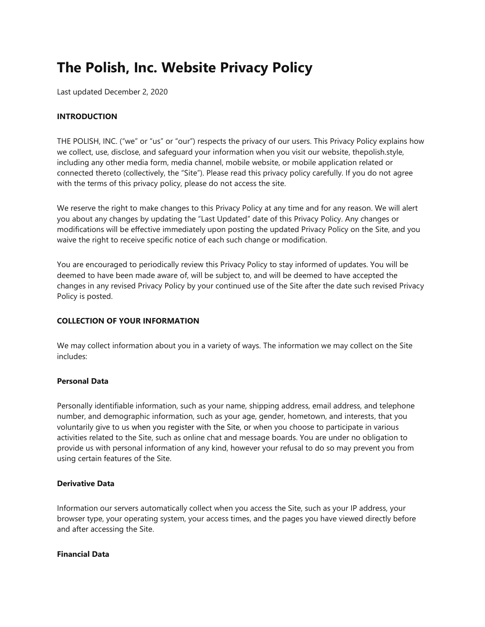# **The Polish, Inc. Website Privacy Policy**

Last updated December 2, 2020

# **INTRODUCTION**

THE POLISH, INC. ("we" or "us" or "our") respects the privacy of our users. This Privacy Policy explains how we collect, use, disclose, and safeguard your information when you visit our website, thepolish.style, including any other media form, media channel, mobile website, or mobile application related or connected thereto (collectively, the "Site"). Please read this privacy policy carefully. If you do not agree with the terms of this privacy policy, please do not access the site.

We reserve the right to make changes to this Privacy Policy at any time and for any reason. We will alert you about any changes by updating the "Last Updated" date of this Privacy Policy. Any changes or modifications will be effective immediately upon posting the updated Privacy Policy on the Site, and you waive the right to receive specific notice of each such change or modification.

You are encouraged to periodically review this Privacy Policy to stay informed of updates. You will be deemed to have been made aware of, will be subject to, and will be deemed to have accepted the changes in any revised Privacy Policy by your continued use of the Site after the date such revised Privacy Policy is posted.

# **COLLECTION OF YOUR INFORMATION**

We may collect information about you in a variety of ways. The information we may collect on the Site includes:

# **Personal Data**

Personally identifiable information, such as your name, shipping address, email address, and telephone number, and demographic information, such as your age, gender, hometown, and interests, that you voluntarily give to us when you register with the Site, or when you choose to participate in various activities related to the Site, such as online chat and message boards. You are under no obligation to provide us with personal information of any kind, however your refusal to do so may prevent you from using certain features of the Site.

# **Derivative Data**

Information our servers automatically collect when you access the Site, such as your IP address, your browser type, your operating system, your access times, and the pages you have viewed directly before and after accessing the Site.

# **Financial Data**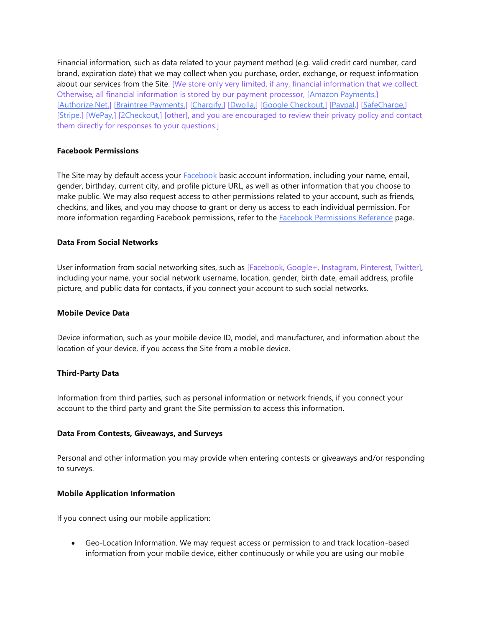Financial information, such as data related to your payment method (e.g. valid credit card number, card brand, expiration date) that we may collect when you purchase, order, exchange, or request information about our services from the Site. [We store only very limited, if any, financial information that we collect. Otherwise, all financial information is stored by our payment processor, [\[Amazon Payments,\]](https://pay.amazon.com/help/201491260) [\[Authorize.Net,\]](https://www.authorize.net/about-us/privacy.html) [\[Braintree Payments,\]](https://www.braintreepayments.com/legal) [\[Chargify,\]](https://www.chargify.com/privacy-policy/) [\[Dwolla,\]](https://www.dwolla.com/legal/privacy/) [\[Google Checkout,\]](https://payments.google.com/payments/apis-secure/get_legal_document?ldo=0&ldt=privacynotice) [\[Paypal,\]](https://www.paypal.com/us/webapps/mpp/ua/privacy-full) [\[SafeCharge,\]](https://www.safecharge.com/privacy-cookies-policy/) [\[Stripe,\]](https://stripe.com/privacy) [\[WePay,\]](https://go.wepay.com/terms-of-service-us/#us) [\[2Checkout,\]](https://www.2checkout.com/legal/privacy/) [other], and you are encouraged to review their privacy policy and contact them directly for responses to your questions.]

# **Facebook Permissions**

The Site may by default access your **[Facebook](https://www.facebook.com/about/privacy/)** basic account information, including your name, email, gender, birthday, current city, and profile picture URL, as well as other information that you choose to make public. We may also request access to other permissions related to your account, such as friends, checkins, and likes, and you may choose to grant or deny us access to each individual permission. For more information regarding Facebook permissions, refer to the [Facebook Permissions Reference](https://developers.facebook.com/docs/permissions/reference) page.

## **Data From Social Networks**

User information from social networking sites, such as [Facebook, Google+, Instagram, Pinterest, Twitter], including your name, your social network username, location, gender, birth date, email address, profile picture, and public data for contacts, if you connect your account to such social networks.

# **Mobile Device Data**

Device information, such as your mobile device ID, model, and manufacturer, and information about the location of your device, if you access the Site from a mobile device.

# **Third-Party Data**

Information from third parties, such as personal information or network friends, if you connect your account to the third party and grant the Site permission to access this information.

#### **Data From Contests, Giveaways, and Surveys**

Personal and other information you may provide when entering contests or giveaways and/or responding to surveys.

#### **Mobile Application Information**

If you connect using our mobile application:

• Geo-Location Information. We may request access or permission to and track location-based information from your mobile device, either continuously or while you are using our mobile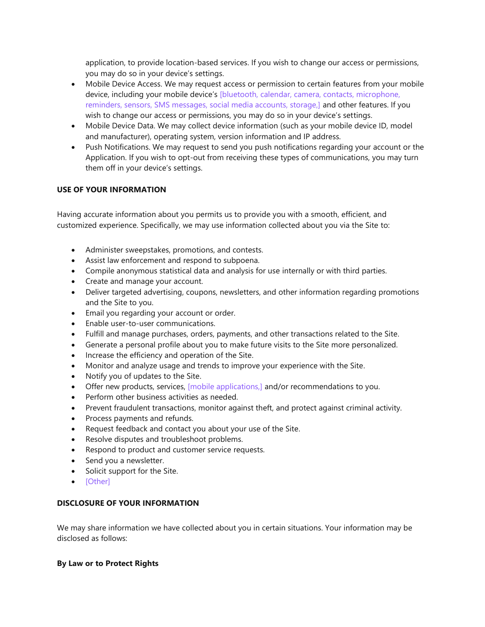application, to provide location-based services. If you wish to change our access or permissions, you may do so in your device's settings.

- Mobile Device Access. We may request access or permission to certain features from your mobile device, including your mobile device's [bluetooth, calendar, camera, contacts, microphone, reminders, sensors, SMS messages, social media accounts, storage,] and other features. If you wish to change our access or permissions, you may do so in your device's settings.
- Mobile Device Data. We may collect device information (such as your mobile device ID, model and manufacturer), operating system, version information and IP address.
- Push Notifications. We may request to send you push notifications regarding your account or the Application. If you wish to opt-out from receiving these types of communications, you may turn them off in your device's settings.

# **USE OF YOUR INFORMATION**

Having accurate information about you permits us to provide you with a smooth, efficient, and customized experience. Specifically, we may use information collected about you via the Site to:

- Administer sweepstakes, promotions, and contests.
- Assist law enforcement and respond to subpoena.
- Compile anonymous statistical data and analysis for use internally or with third parties.
- Create and manage your account.
- Deliver targeted advertising, coupons, newsletters, and other information regarding promotions and the Site to you.
- Email you regarding your account or order.
- Enable user-to-user communications.
- Fulfill and manage purchases, orders, payments, and other transactions related to the Site.
- Generate a personal profile about you to make future visits to the Site more personalized.
- Increase the efficiency and operation of the Site.
- Monitor and analyze usage and trends to improve your experience with the Site.
- Notify you of updates to the Site.
- Offer new products, services, [mobile applications,] and/or recommendations to you.
- Perform other business activities as needed.
- Prevent fraudulent transactions, monitor against theft, and protect against criminal activity.
- Process payments and refunds.
- Request feedback and contact you about your use of the Site.
- Resolve disputes and troubleshoot problems.
- Respond to product and customer service requests.
- Send you a newsletter.
- Solicit support for the Site.
- [Other]

# **DISCLOSURE OF YOUR INFORMATION**

We may share information we have collected about you in certain situations. Your information may be disclosed as follows:

# **By Law or to Protect Rights**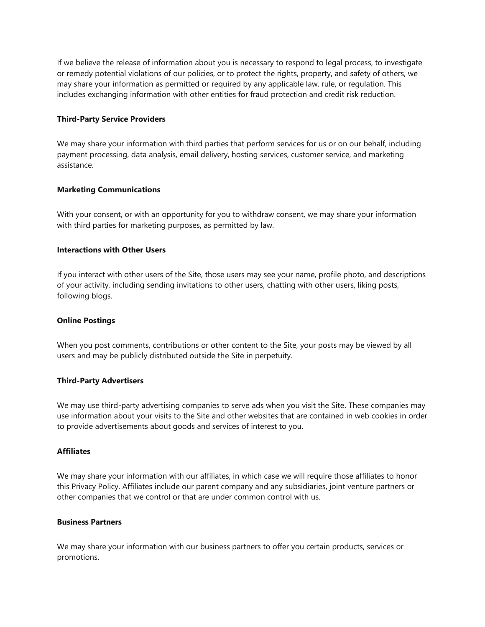If we believe the release of information about you is necessary to respond to legal process, to investigate or remedy potential violations of our policies, or to protect the rights, property, and safety of others, we may share your information as permitted or required by any applicable law, rule, or regulation. This includes exchanging information with other entities for fraud protection and credit risk reduction.

## **Third-Party Service Providers**

We may share your information with third parties that perform services for us or on our behalf, including payment processing, data analysis, email delivery, hosting services, customer service, and marketing assistance.

# **Marketing Communications**

With your consent, or with an opportunity for you to withdraw consent, we may share your information with third parties for marketing purposes, as permitted by law.

# **Interactions with Other Users**

If you interact with other users of the Site, those users may see your name, profile photo, and descriptions of your activity, including sending invitations to other users, chatting with other users, liking posts, following blogs.

#### **Online Postings**

When you post comments, contributions or other content to the Site, your posts may be viewed by all users and may be publicly distributed outside the Site in perpetuity.

#### **Third-Party Advertisers**

We may use third-party advertising companies to serve ads when you visit the Site. These companies may use information about your visits to the Site and other websites that are contained in web cookies in order to provide advertisements about goods and services of interest to you.

#### **Affiliates**

We may share your information with our affiliates, in which case we will require those affiliates to honor this Privacy Policy. Affiliates include our parent company and any subsidiaries, joint venture partners or other companies that we control or that are under common control with us.

# **Business Partners**

We may share your information with our business partners to offer you certain products, services or promotions.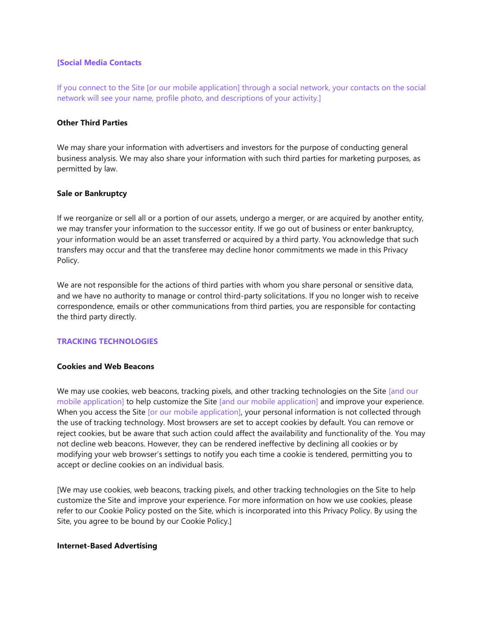## **[Social Media Contacts**

If you connect to the Site [or our mobile application] through a social network, your contacts on the social network will see your name, profile photo, and descriptions of your activity.]

## **Other Third Parties**

We may share your information with advertisers and investors for the purpose of conducting general business analysis. We may also share your information with such third parties for marketing purposes, as permitted by law.

## **Sale or Bankruptcy**

If we reorganize or sell all or a portion of our assets, undergo a merger, or are acquired by another entity, we may transfer your information to the successor entity. If we go out of business or enter bankruptcy, your information would be an asset transferred or acquired by a third party. You acknowledge that such transfers may occur and that the transferee may decline honor commitments we made in this Privacy Policy.

We are not responsible for the actions of third parties with whom you share personal or sensitive data, and we have no authority to manage or control third-party solicitations. If you no longer wish to receive correspondence, emails or other communications from third parties, you are responsible for contacting the third party directly.

# **TRACKING TECHNOLOGIES**

# **Cookies and Web Beacons**

We may use cookies, web beacons, tracking pixels, and other tracking technologies on the Site [and our mobile application] to help customize the Site [and our mobile application] and improve your experience. When you access the Site [or our mobile application], your personal information is not collected through the use of tracking technology. Most browsers are set to accept cookies by default. You can remove or reject cookies, but be aware that such action could affect the availability and functionality of the. You may not decline web beacons. However, they can be rendered ineffective by declining all cookies or by modifying your web browser's settings to notify you each time a cookie is tendered, permitting you to accept or decline cookies on an individual basis.

[We may use cookies, web beacons, tracking pixels, and other tracking technologies on the Site to help customize the Site and improve your experience. For more information on how we use cookies, please refer to our Cookie Policy posted on the Site, which is incorporated into this Privacy Policy. By using the Site, you agree to be bound by our Cookie Policy.]

#### **Internet-Based Advertising**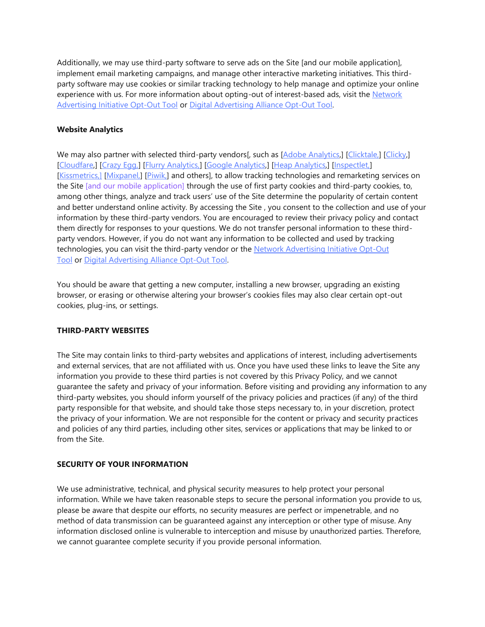Additionally, we may use third-party software to serve ads on the Site [and our mobile application], implement email marketing campaigns, and manage other interactive marketing initiatives. This thirdparty software may use cookies or similar tracking technology to help manage and optimize your online experience with us. For more information about opting-out of interest-based ads, visit the Network [Advertising Initiative Opt-Out Tool](http://optout.networkadvertising.org/?c=1) or [Digital Advertising Alliance Opt-Out Tool.](https://optout.aboutads.info/?c=2&lang=EN)

# **Website Analytics**

We may also partner with selected third-party vendors[, such as [\[Adobe Analytics,\]](https://www.adobe.com/privacy/policy.html) [\[Clicktale,\]](https://contentsquare.com/privacy-center/privacy-policy/) [\[Clicky,](https://clicky.com/terms)] [\[Cloudfare,](https://www.cloudflare.com/privacypolicy/)] [\[Crazy Egg,\]](https://www.crazyegg.com/privacy/) [\[Flurry Analytics,\]](https://www.verizonmedia.com/policies/us/en/verizonmedia/privacy/products/developer/index.html) [\[Google Analytics,](https://support.google.com/analytics/answer/6004245?hl=en)] [\[Heap Analytics,](https://heap.io/privacy)] [\[Inspectlet,\]](https://www.inspectlet.com/legal#privacy) [\[Kissmetrics,\]](https://www.kissmetrics.io/privacy/) [\[Mixpanel,\]](https://mixpanel.com/legal/privacy-policy/) [\[Piwik,\]](https://matomo.org/privacy/) and others], to allow tracking technologies and remarketing services on the Site [and our mobile application] through the use of first party cookies and third-party cookies, to, among other things, analyze and track users' use of the Site determine the popularity of certain content and better understand online activity. By accessing the Site , you consent to the collection and use of your information by these third-party vendors. You are encouraged to review their privacy policy and contact them directly for responses to your questions. We do not transfer personal information to these thirdparty vendors. However, if you do not want any information to be collected and used by tracking technologies, you can visit the third-party vendor or the [Network Advertising Initiative Opt-Out](https://optout.networkadvertising.org/?c=1)  [Tool](https://optout.networkadvertising.org/?c=1) or [Digital Advertising Alliance Opt-Out Tool.](https://optout.aboutads.info/?c=2&lang=EN)

You should be aware that getting a new computer, installing a new browser, upgrading an existing browser, or erasing or otherwise altering your browser's cookies files may also clear certain opt-out cookies, plug-ins, or settings.

# **THIRD-PARTY WEBSITES**

The Site may contain links to third-party websites and applications of interest, including advertisements and external services, that are not affiliated with us. Once you have used these links to leave the Site any information you provide to these third parties is not covered by this Privacy Policy, and we cannot guarantee the safety and privacy of your information. Before visiting and providing any information to any third-party websites, you should inform yourself of the privacy policies and practices (if any) of the third party responsible for that website, and should take those steps necessary to, in your discretion, protect the privacy of your information. We are not responsible for the content or privacy and security practices and policies of any third parties, including other sites, services or applications that may be linked to or from the Site.

# **SECURITY OF YOUR INFORMATION**

We use administrative, technical, and physical security measures to help protect your personal information. While we have taken reasonable steps to secure the personal information you provide to us, please be aware that despite our efforts, no security measures are perfect or impenetrable, and no method of data transmission can be guaranteed against any interception or other type of misuse. Any information disclosed online is vulnerable to interception and misuse by unauthorized parties. Therefore, we cannot guarantee complete security if you provide personal information.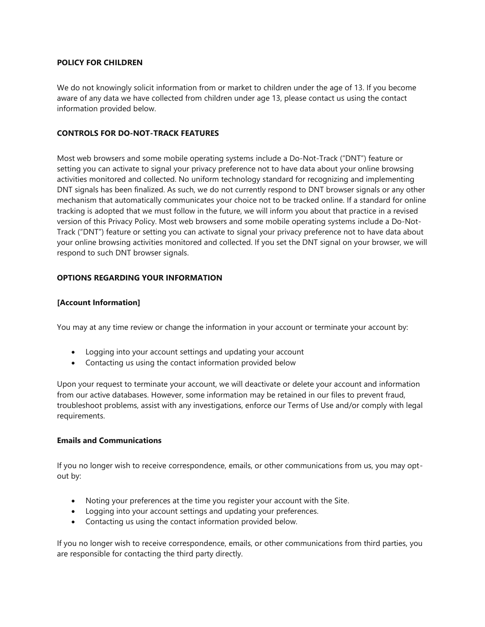# **POLICY FOR CHILDREN**

We do not knowingly solicit information from or market to children under the age of 13. If you become aware of any data we have collected from children under age 13, please contact us using the contact information provided below.

# **CONTROLS FOR DO-NOT-TRACK FEATURES**

Most web browsers and some mobile operating systems include a Do-Not-Track ("DNT") feature or setting you can activate to signal your privacy preference not to have data about your online browsing activities monitored and collected. No uniform technology standard for recognizing and implementing DNT signals has been finalized. As such, we do not currently respond to DNT browser signals or any other mechanism that automatically communicates your choice not to be tracked online. If a standard for online tracking is adopted that we must follow in the future, we will inform you about that practice in a revised version of this Privacy Policy. Most web browsers and some mobile operating systems include a Do-Not-Track ("DNT") feature or setting you can activate to signal your privacy preference not to have data about your online browsing activities monitored and collected. If you set the DNT signal on your browser, we will respond to such DNT browser signals.

# **OPTIONS REGARDING YOUR INFORMATION**

# **[Account Information]**

You may at any time review or change the information in your account or terminate your account by:

- Logging into your account settings and updating your account
- Contacting us using the contact information provided below

Upon your request to terminate your account, we will deactivate or delete your account and information from our active databases. However, some information may be retained in our files to prevent fraud, troubleshoot problems, assist with any investigations, enforce our Terms of Use and/or comply with legal requirements.

#### **Emails and Communications**

If you no longer wish to receive correspondence, emails, or other communications from us, you may optout by:

- Noting your preferences at the time you register your account with the Site.
- Logging into your account settings and updating your preferences.
- Contacting us using the contact information provided below.

If you no longer wish to receive correspondence, emails, or other communications from third parties, you are responsible for contacting the third party directly.